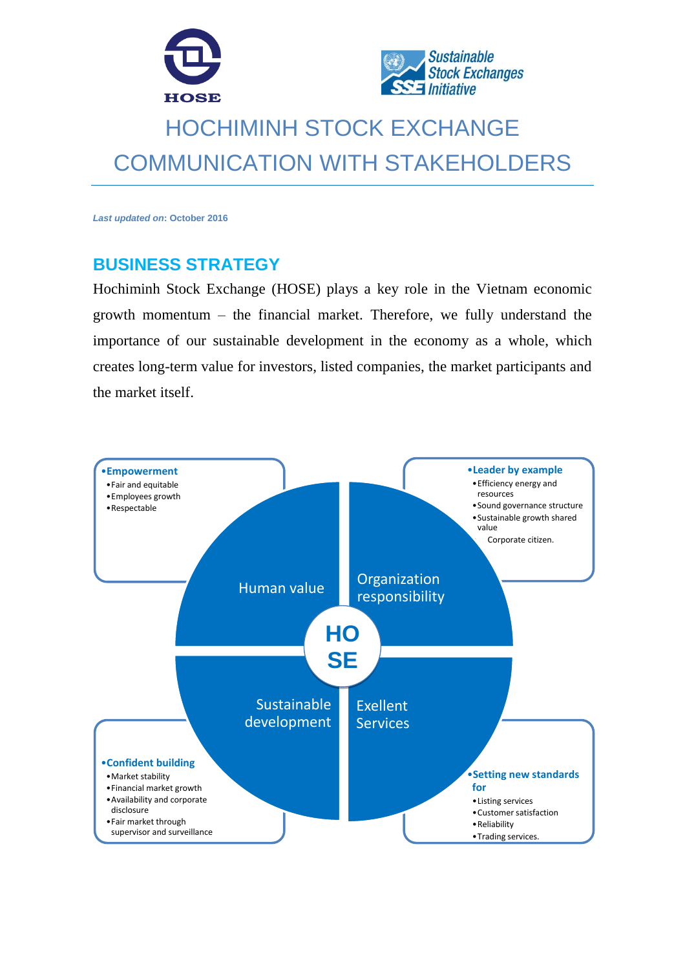



# HOCHIMINH STOCK EXCHANGE COMMUNICATION WITH STAKEHOLDERS

*Last updated on***: October 2016**

## **BUSINESS STRATEGY**

Hochiminh Stock Exchange (HOSE) plays a key role in the Vietnam economic growth momentum – the financial market. Therefore, we fully understand the importance of our sustainable development in the economy as a whole, which creates long-term value for investors, listed companies, the market participants and the market itself.

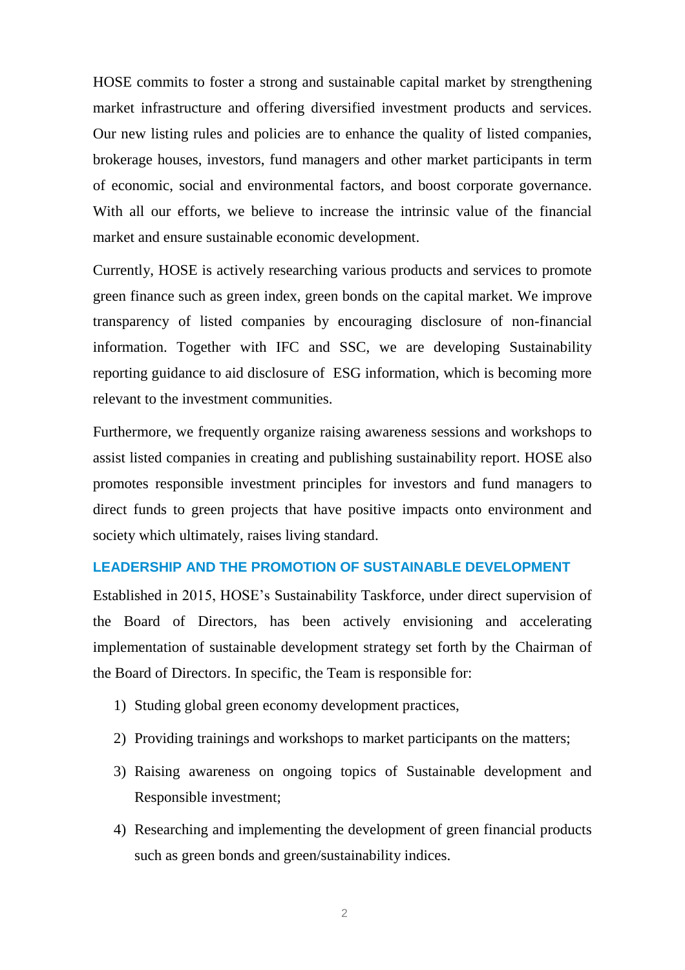HOSE commits to foster a strong and sustainable capital market by strengthening market infrastructure and offering diversified investment products and services. Our new listing rules and policies are to enhance the quality of listed companies, brokerage houses, investors, fund managers and other market participants in term of economic, social and environmental factors, and boost corporate governance. With all our efforts, we believe to increase the intrinsic value of the financial market and ensure sustainable economic development.

Currently, HOSE is actively researching various products and services to promote green finance such as green index, green bonds on the capital market. We improve transparency of listed companies by encouraging disclosure of non-financial information. Together with IFC and SSC, we are developing Sustainability reporting guidance to aid disclosure of ESG information, which is becoming more relevant to the investment communities.

Furthermore, we frequently organize raising awareness sessions and workshops to assist listed companies in creating and publishing sustainability report. HOSE also promotes responsible investment principles for investors and fund managers to direct funds to green projects that have positive impacts onto environment and society which ultimately, raises living standard.

#### **LEADERSHIP AND THE PROMOTION OF SUSTAINABLE DEVELOPMENT**

Established in 2015, HOSE's Sustainability Taskforce, under direct supervision of the Board of Directors, has been actively envisioning and accelerating implementation of sustainable development strategy set forth by the Chairman of the Board of Directors. In specific, the Team is responsible for:

- 1) Studing global green economy development practices,
- 2) Providing trainings and workshops to market participants on the matters;
- 3) Raising awareness on ongoing topics of Sustainable development and Responsible investment;
- 4) Researching and implementing the development of green financial products such as green bonds and green/sustainability indices.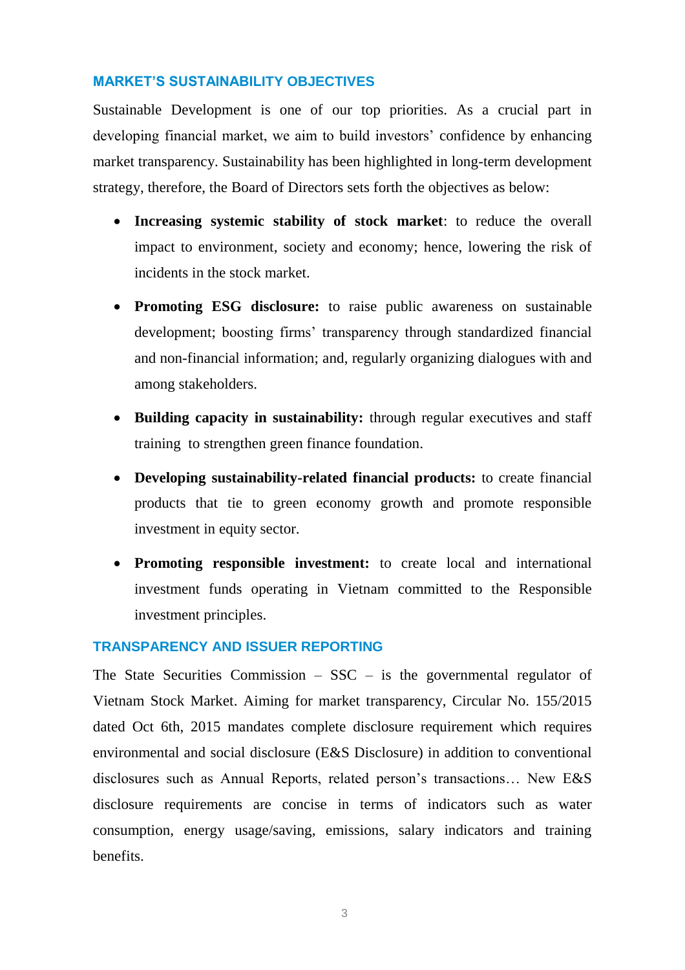#### **MARKET'S SUSTAINABILITY OBJECTIVES**

Sustainable Development is one of our top priorities. As a crucial part in developing financial market, we aim to build investors' confidence by enhancing market transparency. Sustainability has been highlighted in long-term development strategy, therefore, the Board of Directors sets forth the objectives as below:

- **Increasing systemic stability of stock market**: to reduce the overall impact to environment, society and economy; hence, lowering the risk of incidents in the stock market.
- **Promoting ESG disclosure:** to raise public awareness on sustainable development; boosting firms' transparency through standardized financial and non-financial information; and, regularly organizing dialogues with and among stakeholders.
- **Building capacity in sustainability:** through regular executives and staff training to strengthen green finance foundation.
- **Developing sustainability-related financial products:** to create financial products that tie to green economy growth and promote responsible investment in equity sector.
- **Promoting responsible investment:** to create local and international investment funds operating in Vietnam committed to the Responsible investment principles.

#### **TRANSPARENCY AND ISSUER REPORTING**

The State Securities Commission –  $SSC -$  is the governmental regulator of Vietnam Stock Market. Aiming for market transparency, Circular No. 155/2015 dated Oct 6th, 2015 mandates complete disclosure requirement which requires environmental and social disclosure (E&S Disclosure) in addition to conventional disclosures such as Annual Reports, related person's transactions… New E&S disclosure requirements are concise in terms of indicators such as water consumption, energy usage/saving, emissions, salary indicators and training benefits.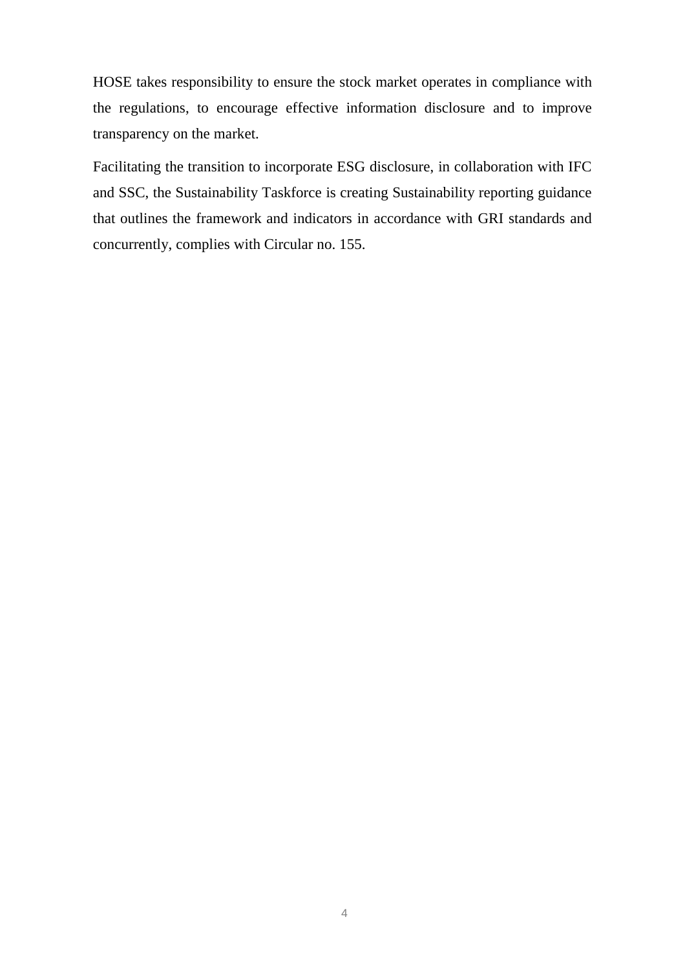HOSE takes responsibility to ensure the stock market operates in compliance with the regulations, to encourage effective information disclosure and to improve transparency on the market.

Facilitating the transition to incorporate ESG disclosure, in collaboration with IFC and SSC, the Sustainability Taskforce is creating Sustainability reporting guidance that outlines the framework and indicators in accordance with GRI standards and concurrently, complies with Circular no. 155.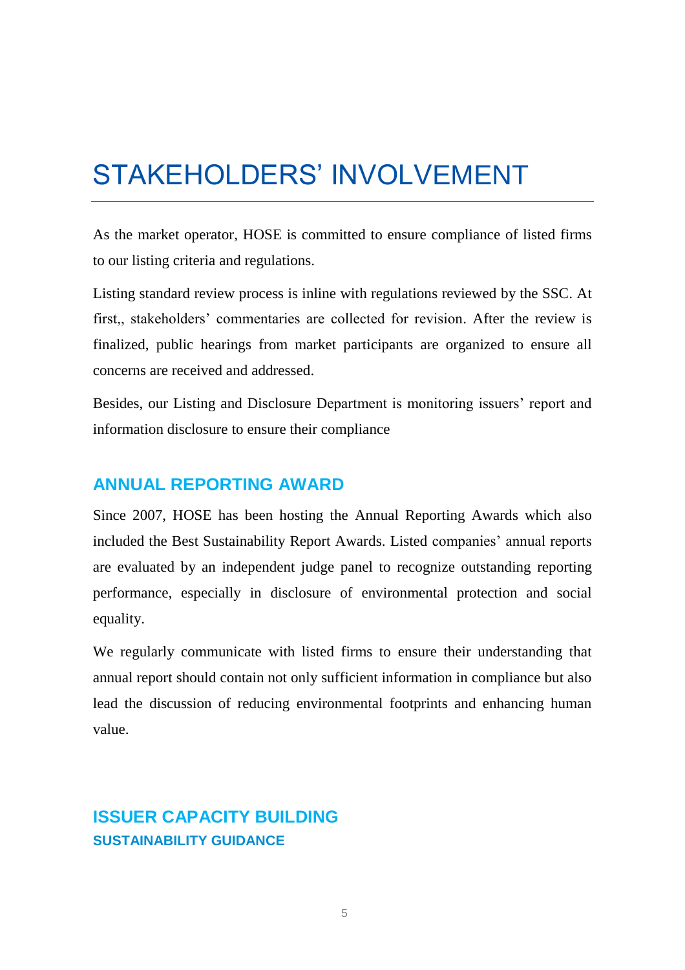# STAKEHOLDERS' INVOLVEMENT

As the market operator, HOSE is committed to ensure compliance of listed firms to our listing criteria and regulations.

Listing standard review process is inline with regulations reviewed by the SSC. At first,, stakeholders' commentaries are collected for revision. After the review is finalized, public hearings from market participants are organized to ensure all concerns are received and addressed.

Besides, our Listing and Disclosure Department is monitoring issuers' report and information disclosure to ensure their compliance

### **ANNUAL REPORTING AWARD**

Since 2007, HOSE has been hosting the Annual Reporting Awards which also included the Best Sustainability Report Awards. Listed companies' annual reports are evaluated by an independent judge panel to recognize outstanding reporting performance, especially in disclosure of environmental protection and social equality.

We regularly communicate with listed firms to ensure their understanding that annual report should contain not only sufficient information in compliance but also lead the discussion of reducing environmental footprints and enhancing human value.

# **ISSUER CAPACITY BUILDING SUSTAINABILITY GUIDANCE**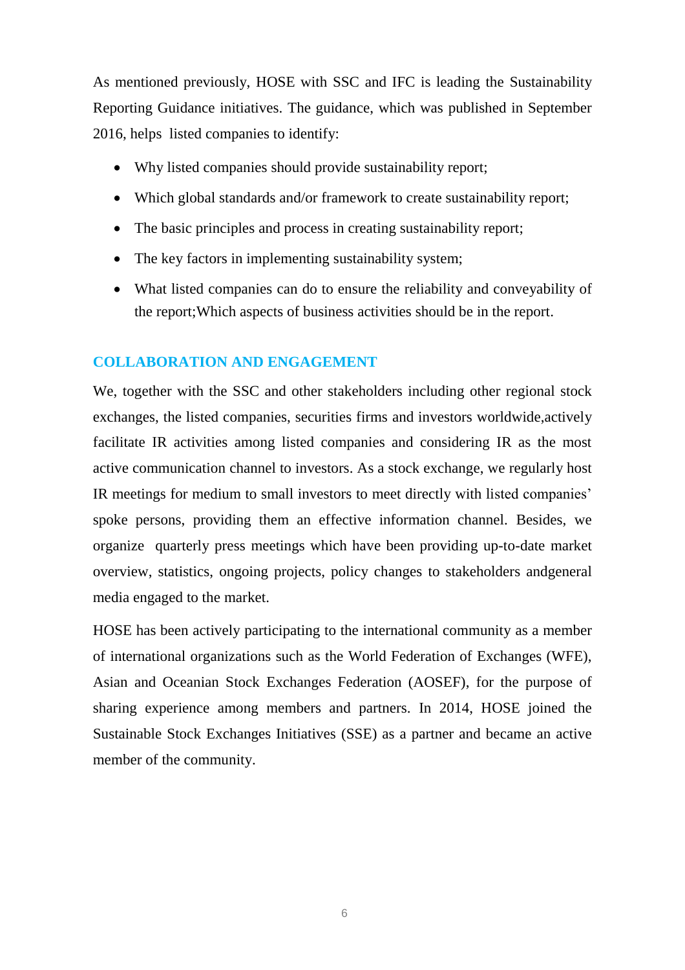As mentioned previously, HOSE with SSC and IFC is leading the Sustainability Reporting Guidance initiatives. The guidance, which was published in September 2016, helps listed companies to identify:

- Why listed companies should provide sustainability report;
- Which global standards and/or framework to create sustainability report;
- The basic principles and process in creating sustainability report;
- The key factors in implementing sustainability system;
- What listed companies can do to ensure the reliability and conveyability of the report;Which aspects of business activities should be in the report.

#### **COLLABORATION AND ENGAGEMENT**

We, together with the SSC and other stakeholders including other regional stock exchanges, the listed companies, securities firms and investors worldwide,actively facilitate IR activities among listed companies and considering IR as the most active communication channel to investors. As a stock exchange, we regularly host IR meetings for medium to small investors to meet directly with listed companies' spoke persons, providing them an effective information channel. Besides, we organize quarterly press meetings which have been providing up-to-date market overview, statistics, ongoing projects, policy changes to stakeholders andgeneral media engaged to the market.

HOSE has been actively participating to the international community as a member of international organizations such as the World Federation of Exchanges (WFE), Asian and Oceanian Stock Exchanges Federation (AOSEF), for the purpose of sharing experience among members and partners. In 2014, HOSE joined the Sustainable Stock Exchanges Initiatives (SSE) as a partner and became an active member of the community.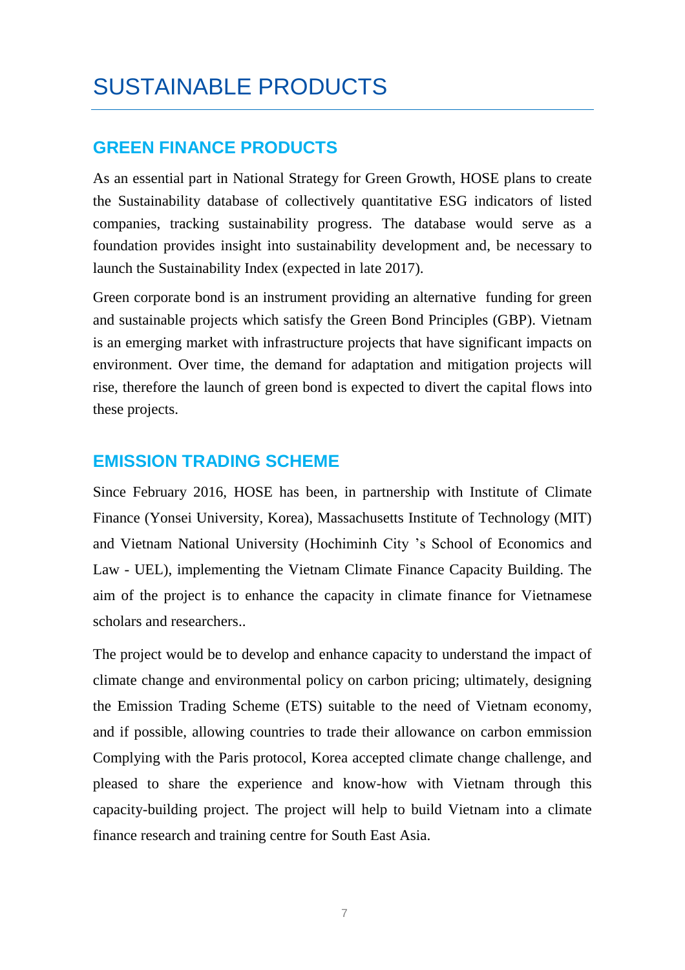# SUSTAINABLE PRODUCTS

### **GREEN FINANCE PRODUCTS**

As an essential part in National Strategy for Green Growth, HOSE plans to create the Sustainability database of collectively quantitative ESG indicators of listed companies, tracking sustainability progress. The database would serve as a foundation provides insight into sustainability development and, be necessary to launch the Sustainability Index (expected in late 2017).

Green corporate bond is an instrument providing an alternative funding for green and sustainable projects which satisfy the Green Bond Principles (GBP). Vietnam is an emerging market with infrastructure projects that have significant impacts on environment. Over time, the demand for adaptation and mitigation projects will rise, therefore the launch of green bond is expected to divert the capital flows into these projects.

### **EMISSION TRADING SCHEME**

Since February 2016, HOSE has been, in partnership with Institute of Climate Finance (Yonsei University, Korea), Massachusetts Institute of Technology (MIT) and Vietnam National University (Hochiminh City 's School of Economics and Law - UEL), implementing the Vietnam Climate Finance Capacity Building. The aim of the project is to enhance the capacity in climate finance for Vietnamese scholars and researchers..

The project would be to develop and enhance capacity to understand the impact of climate change and environmental policy on carbon pricing; ultimately, designing the Emission Trading Scheme (ETS) suitable to the need of Vietnam economy, and if possible, allowing countries to trade their allowance on carbon emmission Complying with the Paris protocol, Korea accepted climate change challenge, and pleased to share the experience and know-how with Vietnam through this capacity-building project. The project will help to build Vietnam into a climate finance research and training centre for South East Asia.